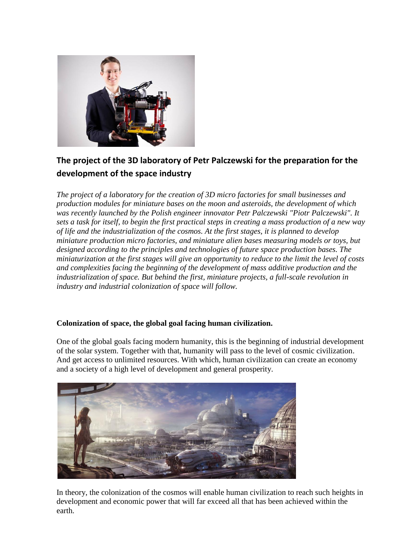

# **The project of the 3D laboratory of Petr Palczewski for the preparation for the development of the space industry**

*The project of a laboratory for the creation of 3D micro factories for small businesses and production modules for miniature bases on the moon and asteroids, the development of which was recently launched by the Polish engineer innovator Petr Palczewski "Piotr Palczewski". It sets a task for itself, to begin the first practical steps in creating a mass production of a new way of life and the industrialization of the cosmos. At the first stages, it is planned to develop miniature production micro factories, and miniature alien bases measuring models or toys, but designed according to the principles and technologies of future space production bases. The miniaturization at the first stages will give an opportunity to reduce to the limit the level of costs and complexities facing the beginning of the development of mass additive production and the industrialization of space. But behind the first, miniature projects, a full-scale revolution in industry and industrial colonization of space will follow.*

# **Colonization of space, the global goal facing human civilization.**

One of the global goals facing modern humanity, this is the beginning of industrial development of the solar system. Together with that, humanity will pass to the level of cosmic civilization. And get access to unlimited resources. With which, human civilization can create an economy and a society of a high level of development and general prosperity.



In theory, the colonization of the cosmos will enable human civilization to reach such heights in development and economic power that will far exceed all that has been achieved within the earth.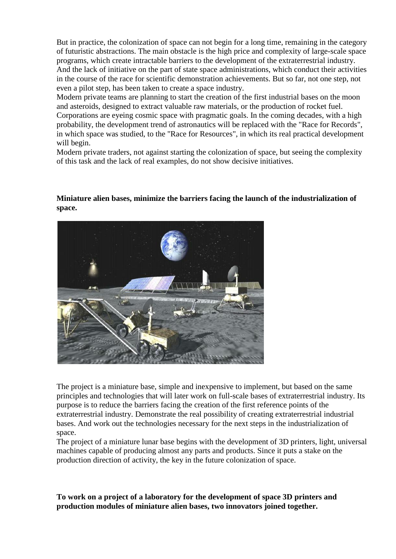But in practice, the colonization of space can not begin for a long time, remaining in the category of futuristic abstractions. The main obstacle is the high price and complexity of large-scale space programs, which create intractable barriers to the development of the extraterrestrial industry. And the lack of initiative on the part of state space administrations, which conduct their activities in the course of the race for scientific demonstration achievements. But so far, not one step, not even a pilot step, has been taken to create a space industry.

Modern private teams are planning to start the creation of the first industrial bases on the moon and asteroids, designed to extract valuable raw materials, or the production of rocket fuel.

Corporations are eyeing cosmic space with pragmatic goals. In the coming decades, with a high probability, the development trend of astronautics will be replaced with the "Race for Records", in which space was studied, to the "Race for Resources", in which its real practical development will begin.

Modern private traders, not against starting the colonization of space, but seeing the complexity of this task and the lack of real examples, do not show decisive initiatives.

#### **Miniature alien bases, minimize the barriers facing the launch of the industrialization of space.**



The project is a miniature base, simple and inexpensive to implement, but based on the same principles and technologies that will later work on full-scale bases of extraterrestrial industry. Its purpose is to reduce the barriers facing the creation of the first reference points of the extraterrestrial industry. Demonstrate the real possibility of creating extraterrestrial industrial bases. And work out the technologies necessary for the next steps in the industrialization of space.

The project of a miniature lunar base begins with the development of 3D printers, light, universal machines capable of producing almost any parts and products. Since it puts a stake on the production direction of activity, the key in the future colonization of space.

**To work on a project of a laboratory for the development of space 3D printers and production modules of miniature alien bases, two innovators joined together.**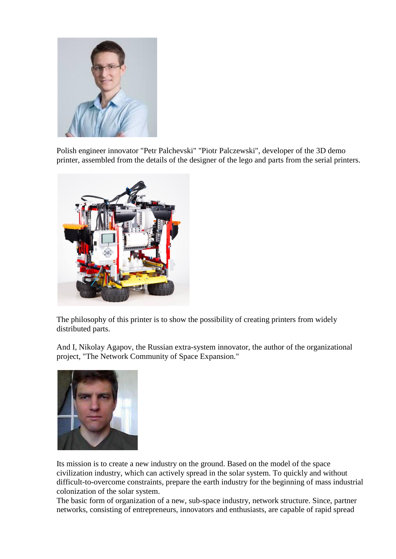

Polish engineer innovator "Petr Palchevski" "Piotr Palczewski", developer of the 3D demo printer, assembled from the details of the designer of the lego and parts from the serial printers.



The philosophy of this printer is to show the possibility of creating printers from widely distributed parts.

And I, Nikolay Agapov, the Russian extra-system innovator, the author of the organizational project, "The Network Community of Space Expansion."



Its mission is to create a new industry on the ground. Based on the model of the space civilization industry, which can actively spread in the solar system. To quickly and without difficult-to-overcome constraints, prepare the earth industry for the beginning of mass industrial colonization of the solar system.

The basic form of organization of a new, sub-space industry, network structure. Since, partner networks, consisting of entrepreneurs, innovators and enthusiasts, are capable of rapid spread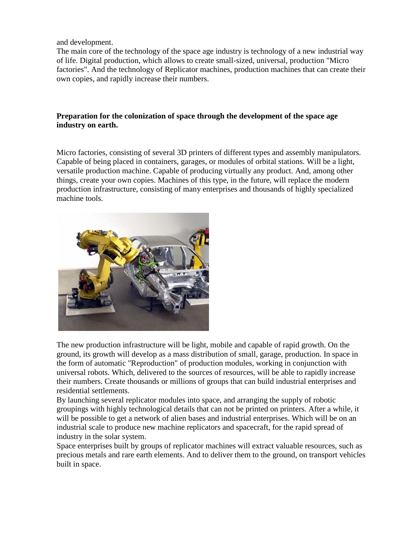and development.

The main core of the technology of the space age industry is technology of a new industrial way of life. Digital production, which allows to create small-sized, universal, production "Micro factories". And the technology of Replicator machines, production machines that can create their own copies, and rapidly increase their numbers.

## **Preparation for the colonization of space through the development of the space age industry on earth.**

Micro factories, consisting of several 3D printers of different types and assembly manipulators. Capable of being placed in containers, garages, or modules of orbital stations. Will be a light, versatile production machine. Capable of producing virtually any product. And, among other things, create your own copies. Machines of this type, in the future, will replace the modern production infrastructure, consisting of many enterprises and thousands of highly specialized machine tools.



The new production infrastructure will be light, mobile and capable of rapid growth. On the ground, its growth will develop as a mass distribution of small, garage, production. In space in the form of automatic "Reproduction" of production modules, working in conjunction with universal robots. Which, delivered to the sources of resources, will be able to rapidly increase their numbers. Create thousands or millions of groups that can build industrial enterprises and residential settlements.

By launching several replicator modules into space, and arranging the supply of robotic groupings with highly technological details that can not be printed on printers. After a while, it will be possible to get a network of alien bases and industrial enterprises. Which will be on an industrial scale to produce new machine replicators and spacecraft, for the rapid spread of industry in the solar system.

Space enterprises built by groups of replicator machines will extract valuable resources, such as precious metals and rare earth elements. And to deliver them to the ground, on transport vehicles built in space.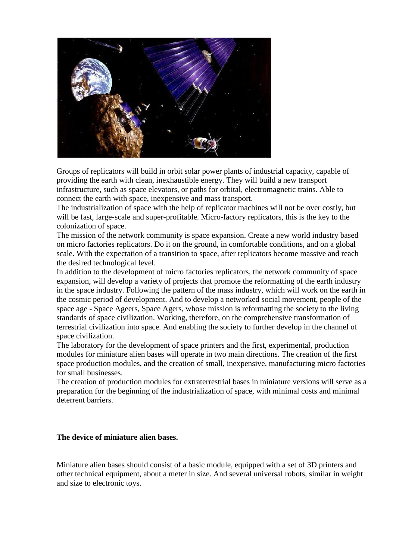

Groups of replicators will build in orbit solar power plants of industrial capacity, capable of providing the earth with clean, inexhaustible energy. They will build a new transport infrastructure, such as space elevators, or paths for orbital, electromagnetic trains. Able to connect the earth with space, inexpensive and mass transport.

The industrialization of space with the help of replicator machines will not be over costly, but will be fast, large-scale and super-profitable. Micro-factory replicators, this is the key to the colonization of space.

The mission of the network community is space expansion. Create a new world industry based on micro factories replicators. Do it on the ground, in comfortable conditions, and on a global scale. With the expectation of a transition to space, after replicators become massive and reach the desired technological level.

In addition to the development of micro factories replicators, the network community of space expansion, will develop a variety of projects that promote the reformatting of the earth industry in the space industry. Following the pattern of the mass industry, which will work on the earth in the cosmic period of development. And to develop a networked social movement, people of the space age - Space Ageers, Space Agers, whose mission is reformatting the society to the living standards of space civilization. Working, therefore, on the comprehensive transformation of terrestrial civilization into space. And enabling the society to further develop in the channel of space civilization.

The laboratory for the development of space printers and the first, experimental, production modules for miniature alien bases will operate in two main directions. The creation of the first space production modules, and the creation of small, inexpensive, manufacturing micro factories for small businesses.

The creation of production modules for extraterrestrial bases in miniature versions will serve as a preparation for the beginning of the industrialization of space, with minimal costs and minimal deterrent barriers.

## **The device of miniature alien bases.**

Miniature alien bases should consist of a basic module, equipped with a set of 3D printers and other technical equipment, about a meter in size. And several universal robots, similar in weight and size to electronic toys.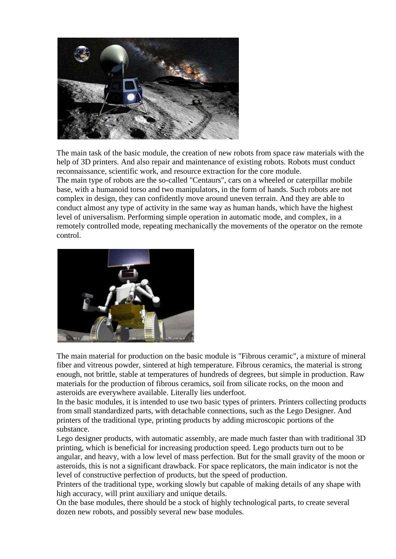

The main task of the basic module, the creation of new robots from space raw materials with the help of 3D printers. And also repair and maintenance of existing robots. Robots must conduct reconnaissance, scientific work, and resource extraction for the core module.

The main type of robots are the so-called "Centaurs", cars on a wheeled or caterpillar mobile base, with a humanoid torso and two manipulators, in the form of hands. Such robots are not complex in design, they can confidently move around uneven terrain. And they are able to conduct almost any type of activity in the same way as human hands, which have the highest level of universalism. Performing simple operation in automatic mode, and complex, in a remotely controlled mode, repeating mechanically the movements of the operator on the remote control.



The main material for production on the basic module is "Fibrous ceramic", a mixture of mineral fiber and vitreous powder, sintered at high temperature. Fibrous ceramics, the material is strong enough, not brittle, stable at temperatures of hundreds of degrees, but simple in production. Raw materials for the production of fibrous ceramics, soil from silicate rocks, on the moon and asteroids are everywhere available. Literally lies underfoot.

In the basic modules, it is intended to use two basic types of printers. Printers collecting products from small standardized parts, with detachable connections, such as the Lego Designer. And printers of the traditional type, printing products by adding microscopic portions of the substance.

Lego designer products, with automatic assembly, are made much faster than with traditional 3D printing, which is beneficial for increasing production speed. Lego products turn out to be angular, and heavy, with a low level of mass perfection. But for the small gravity of the moon or asteroids, this is not a significant drawback. For space replicators, the main indicator is not the level of constructive perfection of products, but the speed of production.

Printers of the traditional type, working slowly but capable of making details of any shape with high accuracy, will print auxiliary and unique details.

On the base modules, there should be a stock of highly technological parts, to create several dozen new robots, and possibly several new base modules.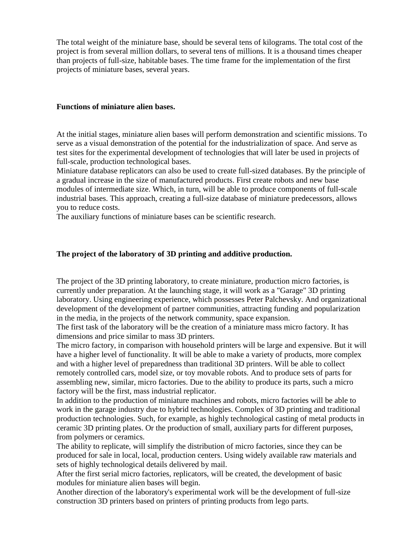The total weight of the miniature base, should be several tens of kilograms. The total cost of the project is from several million dollars, to several tens of millions. It is a thousand times cheaper than projects of full-size, habitable bases. The time frame for the implementation of the first projects of miniature bases, several years.

#### **Functions of miniature alien bases.**

At the initial stages, miniature alien bases will perform demonstration and scientific missions. To serve as a visual demonstration of the potential for the industrialization of space. And serve as test sites for the experimental development of technologies that will later be used in projects of full-scale, production technological bases.

Miniature database replicators can also be used to create full-sized databases. By the principle of a gradual increase in the size of manufactured products. First create robots and new base modules of intermediate size. Which, in turn, will be able to produce components of full-scale industrial bases. This approach, creating a full-size database of miniature predecessors, allows you to reduce costs.

The auxiliary functions of miniature bases can be scientific research.

#### **The project of the laboratory of 3D printing and additive production.**

The project of the 3D printing laboratory, to create miniature, production micro factories, is currently under preparation. At the launching stage, it will work as a "Garage" 3D printing laboratory. Using engineering experience, which possesses Peter Palchevsky. And organizational development of the development of partner communities, attracting funding and popularization in the media, in the projects of the network community, space expansion.

The first task of the laboratory will be the creation of a miniature mass micro factory. It has dimensions and price similar to mass 3D printers.

The micro factory, in comparison with household printers will be large and expensive. But it will have a higher level of functionality. It will be able to make a variety of products, more complex and with a higher level of preparedness than traditional 3D printers. Will be able to collect remotely controlled cars, model size, or toy movable robots. And to produce sets of parts for assembling new, similar, micro factories. Due to the ability to produce its parts, such a micro factory will be the first, mass industrial replicator.

In addition to the production of miniature machines and robots, micro factories will be able to work in the garage industry due to hybrid technologies. Complex of 3D printing and traditional production technologies. Such, for example, as highly technological casting of metal products in ceramic 3D printing plates. Or the production of small, auxiliary parts for different purposes, from polymers or ceramics.

The ability to replicate, will simplify the distribution of micro factories, since they can be produced for sale in local, local, production centers. Using widely available raw materials and sets of highly technological details delivered by mail.

After the first serial micro factories, replicators, will be created, the development of basic modules for miniature alien bases will begin.

Another direction of the laboratory's experimental work will be the development of full-size construction 3D printers based on printers of printing products from lego parts.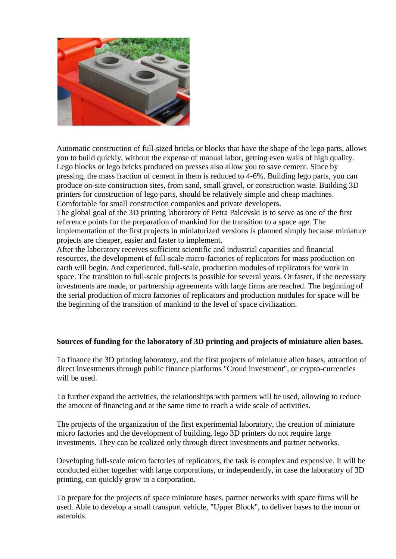

Automatic construction of full-sized bricks or blocks that have the shape of the lego parts, allows you to build quickly, without the expense of manual labor, getting even walls of high quality. Lego blocks or lego bricks produced on presses also allow you to save cement. Since by pressing, the mass fraction of cement in them is reduced to 4-6%. Building lego parts, you can produce on-site construction sites, from sand, small gravel, or construction waste. Building 3D printers for construction of lego parts, should be relatively simple and cheap machines. Comfortable for small construction companies and private developers.

The global goal of the 3D printing laboratory of Petra Palcevski is to serve as one of the first reference points for the preparation of mankind for the transition to a space age. The implementation of the first projects in miniaturized versions is planned simply because miniature projects are cheaper, easier and faster to implement.

After the laboratory receives sufficient scientific and industrial capacities and financial resources, the development of full-scale micro-factories of replicators for mass production on earth will begin. And experienced, full-scale, production modules of replicators for work in space. The transition to full-scale projects is possible for several years. Or faster, if the necessary investments are made, or partnership agreements with large firms are reached. The beginning of the serial production of micro factories of replicators and production modules for space will be the beginning of the transition of mankind to the level of space civilization.

# **Sources of funding for the laboratory of 3D printing and projects of miniature alien bases.**

To finance the 3D printing laboratory, and the first projects of miniature alien bases, attraction of direct investments through public finance platforms "Croud investment", or crypto-currencies will be used.

To further expand the activities, the relationships with partners will be used, allowing to reduce the amount of financing and at the same time to reach a wide scale of activities.

The projects of the organization of the first experimental laboratory, the creation of miniature micro factories and the development of building, lego 3D printers do not require large investments. They can be realized only through direct investments and partner networks.

Developing full-scale micro factories of replicators, the task is complex and expensive. It will be conducted either together with large corporations, or independently, in case the laboratory of 3D printing, can quickly grow to a corporation.

To prepare for the projects of space miniature bases, partner networks with space firms will be used. Able to develop a small transport vehicle, "Upper Block", to deliver bases to the moon or asteroids.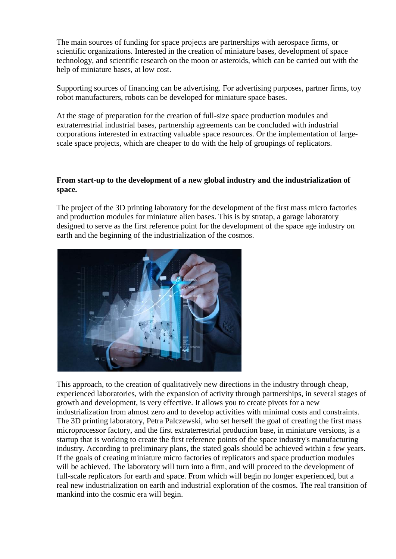The main sources of funding for space projects are partnerships with aerospace firms, or scientific organizations. Interested in the creation of miniature bases, development of space technology, and scientific research on the moon or asteroids, which can be carried out with the help of miniature bases, at low cost.

Supporting sources of financing can be advertising. For advertising purposes, partner firms, toy robot manufacturers, robots can be developed for miniature space bases.

At the stage of preparation for the creation of full-size space production modules and extraterrestrial industrial bases, partnership agreements can be concluded with industrial corporations interested in extracting valuable space resources. Or the implementation of largescale space projects, which are cheaper to do with the help of groupings of replicators.

# **From start-up to the development of a new global industry and the industrialization of space.**

The project of the 3D printing laboratory for the development of the first mass micro factories and production modules for miniature alien bases. This is by stratap, a garage laboratory designed to serve as the first reference point for the development of the space age industry on earth and the beginning of the industrialization of the cosmos.



This approach, to the creation of qualitatively new directions in the industry through cheap, experienced laboratories, with the expansion of activity through partnerships, in several stages of growth and development, is very effective. It allows you to create pivots for a new industrialization from almost zero and to develop activities with minimal costs and constraints. The 3D printing laboratory, Petra Palczewski, who set herself the goal of creating the first mass microprocessor factory, and the first extraterrestrial production base, in miniature versions, is a startup that is working to create the first reference points of the space industry's manufacturing industry. According to preliminary plans, the stated goals should be achieved within a few years. If the goals of creating miniature micro factories of replicators and space production modules will be achieved. The laboratory will turn into a firm, and will proceed to the development of full-scale replicators for earth and space. From which will begin no longer experienced, but a real new industrialization on earth and industrial exploration of the cosmos. The real transition of mankind into the cosmic era will begin.